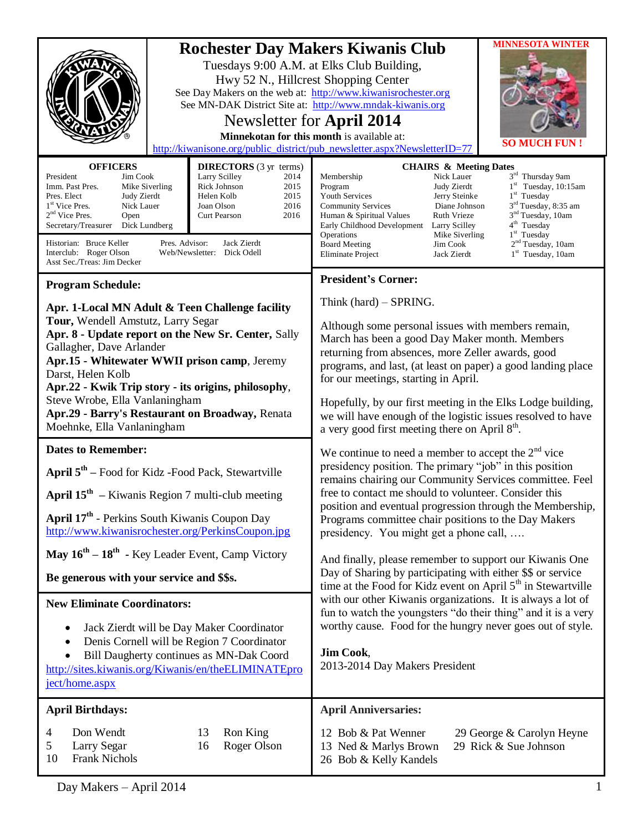| Hwy 52 N., Hillcrest Shopping Center<br><b>OFFICERS</b><br><b>DIRECTORS</b> (3 yr terms)<br>President<br>Jim Cook<br>Larry Scilley<br>2014<br>Mike Siverling<br>Rick Johnson<br>2015<br>Imm. Past Pres.<br>2015<br>Pres. Elect<br>Judy Zierdt<br>Helen Kolb<br>1 <sup>st</sup> Vice Pres.<br>2016<br>Nick Lauer<br>Joan Olson<br>$2nd$ Vice Pres.<br>2016<br><b>Curt Pearson</b><br>Open<br>Secretary/Treasurer<br>Dick Lundberg                                                                                                                                                                                         | <b>MINNESOTA WINTER</b><br><b>Rochester Day Makers Kiwanis Club</b><br>Tuesdays 9:00 A.M. at Elks Club Building,<br>See Day Makers on the web at: http://www.kiwanisrochester.org<br>See MN-DAK District Site at: http://www.mndak-kiwanis.org<br>Newsletter for April 2014<br>Minnekotan for this month is available at:<br>SO MUC<br>http://kiwanisone.org/public_district/pub_newsletter.aspx?NewsletterID=77<br><b>CHAIRS &amp; Meeting Dates</b><br>3rd Thursday 9am<br>Nick Lauer<br>Membership<br>$1st$ Tuesday, 10:15am<br>Program<br>Judy Zierdt<br>$1st$ Tuesday<br><b>Youth Services</b><br>Jerry Steinke<br>3 <sup>rd</sup> Tuesday, 8:35 am<br><b>Community Services</b><br>Diane Johnson<br>3 <sup>nd</sup> Tuesday, 10am<br>Human & Spiritual Values<br><b>Ruth Vrieze</b><br>4 <sup>th</sup> Tuesday<br>Early Childhood Development<br>Larry Scilley |
|--------------------------------------------------------------------------------------------------------------------------------------------------------------------------------------------------------------------------------------------------------------------------------------------------------------------------------------------------------------------------------------------------------------------------------------------------------------------------------------------------------------------------------------------------------------------------------------------------------------------------|----------------------------------------------------------------------------------------------------------------------------------------------------------------------------------------------------------------------------------------------------------------------------------------------------------------------------------------------------------------------------------------------------------------------------------------------------------------------------------------------------------------------------------------------------------------------------------------------------------------------------------------------------------------------------------------------------------------------------------------------------------------------------------------------------------------------------------------------------------------------|
| Pres. Advisor:<br>Historian: Bruce Keller<br>Jack Zierdt<br>Interclub: Roger Olson<br>Web/Newsletter: Dick Odell<br>Asst Sec./Treas: Jim Decker                                                                                                                                                                                                                                                                                                                                                                                                                                                                          | $1st$ Tuesday<br>Operations<br>Mike Siverling<br>2 <sup>nd</sup> Tuesday, 10am<br><b>Board Meeting</b><br>Jim Cook<br>1 <sup>st</sup> Tuesday, 10am<br>Eliminate Project<br>Jack Zierdt                                                                                                                                                                                                                                                                                                                                                                                                                                                                                                                                                                                                                                                                              |
| <b>Program Schedule:</b><br>Apr. 1-Local MN Adult & Teen Challenge facility<br>Tour, Wendell Amstutz, Larry Segar<br>Apr. 8 - Update report on the New Sr. Center, Sally<br>Gallagher, Dave Arlander<br>Apr.15 - Whitewater WWII prison camp, Jeremy<br>Darst, Helen Kolb<br>Apr.22 - Kwik Trip story - its origins, philosophy,<br>Steve Wrobe, Ella Vanlaningham<br>Apr.29 - Barry's Restaurant on Broadway, Renata<br>Moehnke, Ella Vanlaningham                                                                                                                                                                      | <b>President's Corner:</b><br>Think (hard) - SPRING.<br>Although some personal issues with members remain,<br>March has been a good Day Maker month. Members<br>returning from absences, more Zeller awards, good<br>programs, and last, (at least on paper) a good landing place<br>for our meetings, starting in April.<br>Hopefully, by our first meeting in the Elks Lodge building,<br>we will have enough of the logistic issues resolved to have<br>a very good first meeting there on April 8 <sup>th</sup> .                                                                                                                                                                                                                                                                                                                                                |
| <b>Dates to Remember:</b><br>April $5th$ – Food for Kidz - Food Pack, Stewartville<br>April $15th$ – Kiwanis Region 7 multi-club meeting<br>April 17 <sup>th</sup> - Perkins South Kiwanis Coupon Day<br>http://www.kiwanisrochester.org/PerkinsCoupon.jpg<br>May $16^{th} - 18^{th}$ - Key Leader Event, Camp Victory<br>Be generous with your service and \$\$s.<br><b>New Eliminate Coordinators:</b><br>Jack Zierdt will be Day Maker Coordinator<br>٠<br>Denis Cornell will be Region 7 Coordinator<br>$\bullet$<br>Bill Daugherty continues as MN-Dak Coord<br>http://sites.kiwanis.org/Kiwanis/en/theELIMINATEpro | We continue to need a member to accept the $2nd$ vice<br>presidency position. The primary "job" in this position<br>remains chairing our Community Services committee. Feel<br>free to contact me should to volunteer. Consider this<br>position and eventual progression through the Membership,<br>Programs committee chair positions to the Day Makers<br>presidency. You might get a phone call,<br>And finally, please remember to support our Kiwanis One<br>Day of Sharing by participating with either \$\$ or service<br>time at the Food for Kidz event on April 5 <sup>th</sup> in Stewartville<br>with our other Kiwanis organizations. It is always a lot of<br>fun to watch the youngsters "do their thing" and it is a very<br>worthy cause. Food for the hungry never goes out of style.<br>Jim Cook,<br>2013-2014 Day Makers President              |
| ject/home.aspx<br><b>April Birthdays:</b>                                                                                                                                                                                                                                                                                                                                                                                                                                                                                                                                                                                | <b>April Anniversaries:</b>                                                                                                                                                                                                                                                                                                                                                                                                                                                                                                                                                                                                                                                                                                                                                                                                                                          |
| Don Wendt<br>13<br>Ron King<br>4<br>16<br>Roger Olson<br>5<br>Larry Segar<br><b>Frank Nichols</b><br>10                                                                                                                                                                                                                                                                                                                                                                                                                                                                                                                  | 12 Bob & Pat Wenner<br>29 George & Carolyn Heyne<br>29 Rick & Sue Johnson<br>13 Ned & Marlys Brown<br>26 Bob & Kelly Kandels                                                                                                                                                                                                                                                                                                                                                                                                                                                                                                                                                                                                                                                                                                                                         |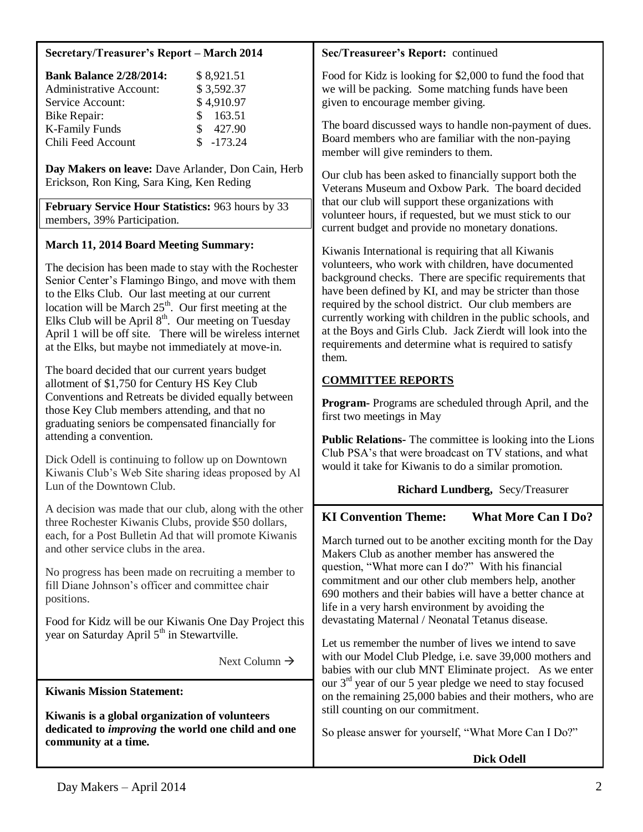#### **Secretary/Treasurer's Report – March 2014 Bank Balance 2/28/2014:** \$ 8,921.51 Administrative Account: \$ 3,592.37 Service Account: \$4,910.97 Bike Repair: \$ 163.51 K-Family Funds  $$ 427.90$ Chili Feed Account \$ -173.24 **Day Makers on leave:** Dave Arlander, Don Cain, Herb Erickson, Ron King, Sara King, Ken Reding **February Service Hour Statistics:** 963 hours by 33 members, 39% Participation. **March 11, 2014 Board Meeting Summary:** The decision has been made to stay with the Rochester Senior Center's Flamingo Bingo, and move with them to the Elks Club. Our last meeting at our current location will be March  $25<sup>th</sup>$ . Our first meeting at the Elks Club will be April  $8<sup>th</sup>$ . Our meeting on Tuesday April 1 will be off site. There will be wireless internet at the Elks, but maybe not immediately at move-in. The board decided that our current years budget allotment of \$1,750 for Century HS Key Club Conventions and Retreats be divided equally between those Key Club members attending, and that no graduating seniors be compensated financially for attending a convention. Dick Odell is continuing to follow up on Downtown Kiwanis Club's Web Site sharing ideas proposed by Al Lun of the Downtown Club. A decision was made that our club, along with the other three Rochester Kiwanis Clubs, provide \$50 dollars, each, for a Post Bulletin Ad that will promote Kiwanis and other service clubs in the area. No progress has been made on recruiting a member to fill Diane Johnson's officer and committee chair positions. Food for Kidz will be our Kiwanis One Day Project this year on Saturday April  $5<sup>th</sup>$  in Stewartville. Next Column  $\rightarrow$ **continues** is a global organization of volunteers dedicated to *improving* the world one child and one **Sec/Treasureer's Report:** continued Food for Kidz is looking for \$2,000 to fund the food that we will be packing. Some matching funds have been given to encourage member giving. The board discussed ways to handle non-payment of dues. Board members who are familiar with the non-paying member will give reminders to them. Our club has been asked to financially support both the Veterans Museum and Oxbow Park. The board decided that our club will support these organizations with volunteer hours, if requested, but we must stick to our current budget and provide no monetary donations. Kiwanis International is requiring that all Kiwanis volunteers, who work with children, have documented background checks. There are specific requirements that have been defined by KI, and may be stricter than those required by the school district. Our club members are currently working with children in the public schools, and at the Boys and Girls Club. Jack Zierdt will look into the requirements and determine what is required to satisfy them. **COMMITTEE REPORTS Program-** Programs are scheduled through April, and the first two meetings in May **Public Relations-** The committee is looking into the Lions Club PSA's that were broadcast on TV stations, and what would it take for Kiwanis to do a similar promotion. **Richard Lundberg,** Secy/Treasurer **KI Convention Theme: What More Can I Do?** March turned out to be another exciting month for the Day Makers Club as another member has answered the question, "What more can I do?" With his financial commitment and our other club members help, another 690 mothers and their babies will have a better chance at life in a very harsh environment by avoiding the devastating Maternal / Neonatal Tetanus disease. Let us remember the number of lives we intend to save with our Model Club Pledge, i.e. save 39,000 mothers and babies with our club MNT Eliminate project. As we enter our  $3<sup>rd</sup>$  year of our 5 year pledge we need to stay focused on the remaining 25,000 babies and their mothers, who are still counting on our commitment. So please answer for yourself, "What More Can I Do?" **Dick Odell Kiwanis Mission Statement: Kiwanis is a global organization of volunteers community at a time.**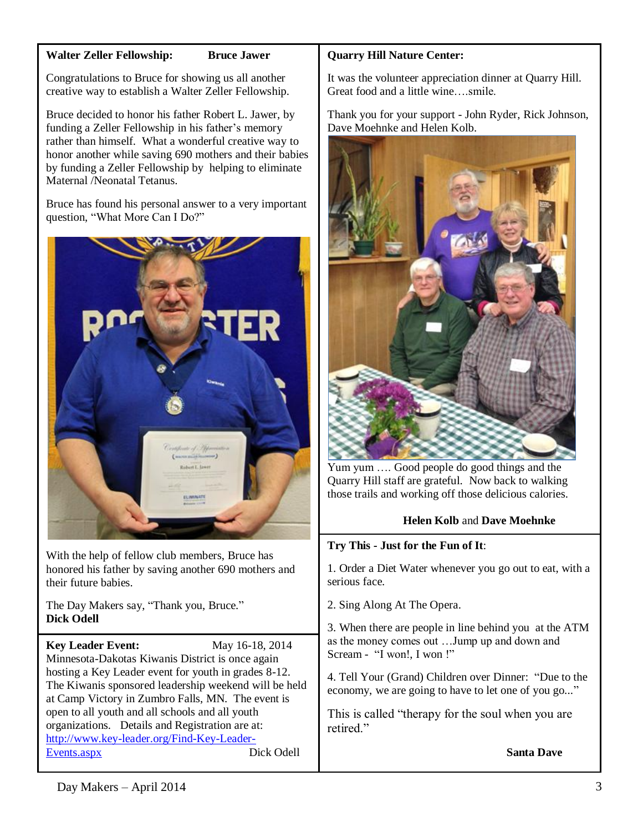### **Walter Zeller Fellowship: Bruce Jawer**

Congratulations to Bruce for showing us all another creative way to establish a Walter Zeller Fellowship.

Bruce decided to honor his father Robert L. Jawer, by funding a Zeller Fellowship in his father's memory rather than himself. What a wonderful creative way to honor another while saving 690 mothers and their babies by funding a Zeller Fellowship by helping to eliminate Maternal /Neonatal Tetanus.

Bruce has found his personal answer to a very important question, "What More Can I Do?"



With the help of fellow club members, Bruce has honored his father by saving another 690 mothers and their future babies.

The Day Makers say, "Thank you, Bruce." **Dick Odell**

**Key Leader Event:** May 16-18, 2014 Minnesota-Dakotas Kiwanis District is once again hosting a Key Leader event for youth in grades 8-12. The Kiwanis sponsored leadership weekend will be held at Camp Victory in Zumbro Falls, MN. The event is open to all youth and all schools and all youth organizations. Details and Registration are at: [http://www.key-leader.org/Find-Key-Leader-](http://www.key-leader.org/Find-Key-Leader-Events.aspx)[Events.aspx](http://www.key-leader.org/Find-Key-Leader-Events.aspx) Dick Odell

# **Quarry Hill Nature Center:**

It was the volunteer appreciation dinner at Quarry Hill. Great food and a little wine….smile.

Thank you for your support - John Ryder, Rick Johnson, Dave Moehnke and Helen Kolb.



Yum yum …. Good people do good things and the Quarry Hill staff are grateful. Now back to walking those trails and working off those delicious calories.

# **Helen Kolb** and **Dave Moehnke**

## **Try This - Just for the Fun of It**:

1. Order a Diet Water whenever you go out to eat, with a serious face.

2. Sing Along At The Opera.

3. When there are people in line behind you at the ATM as the money comes out …Jump up and down and Scream - "I won!, I won !"

4. Tell Your (Grand) Children over Dinner: "Due to the economy, we are going to have to let one of you go..."

This is called "therapy for the soul when you are retired."

 **Santa Dave**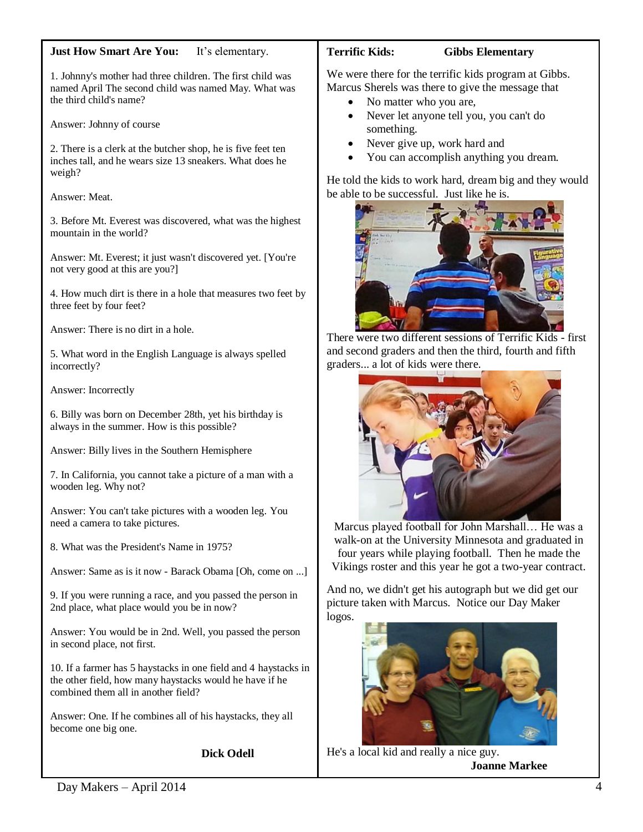#### **Just How Smart Are You:** It's elementary.

1. Johnny's mother had three children. The first child was named April The second child was named May. What was the third child's name?

Answer: Johnny of course

2. There is a clerk at the butcher shop, he is five feet ten inches tall, and he wears size 13 sneakers. What does he weigh?

Answer: Meat.

3. Before Mt. Everest was discovered, what was the highest mountain in the world?

Answer: Mt. Everest; it just wasn't discovered yet. [You're not very good at this are you?]

4. How much dirt is there in a hole that measures two feet by three feet by four feet?

Answer: There is no dirt in a hole.

5. What word in the English Language is always spelled incorrectly?

Answer: Incorrectly

6. Billy was born on December 28th, yet his birthday is always in the summer. How is this possible?

Answer: Billy lives in the Southern Hemisphere

7. In California, you cannot take a picture of a man with a wooden leg. Why not?

Answer: You can't take pictures with a wooden leg. You need a camera to take pictures.

8. What was the President's Name in 1975?

Answer: Same as is it now - Barack Obama [Oh, come on ...]

9. If you were running a race, and you passed the person in 2nd place, what place would you be in now?

Answer: You would be in 2nd. Well, you passed the person in second place, not first.

10. If a farmer has 5 haystacks in one field and 4 haystacks in the other field, how many haystacks would he have if he combined them all in another field?

Answer: One. If he combines all of his haystacks, they all become one big one.

**Dick Odell**

#### **Terrific Kids: Gibbs Elementary**

We were there for the terrific kids program at Gibbs. Marcus Sherels was there to give the message that

- No matter who you are,
- Never let anyone tell you, you can't do something.
- Never give up, work hard and
- You can accomplish anything you dream.

He told the kids to work hard, dream big and they would be able to be successful. Just like he is.



There were two different sessions of Terrific Kids - first and second graders and then the third, fourth and fifth graders... a lot of kids were there.



Marcus played football for John Marshall… He was a walk-on at the University Minnesota and graduated in four years while playing football. Then he made the Vikings roster and this year he got a two-year contract.

And no, we didn't get his autograph but we did get our picture taken with Marcus. Notice our Day Maker logos.



He's a local kid and really a nice guy. **Joanne Markee**